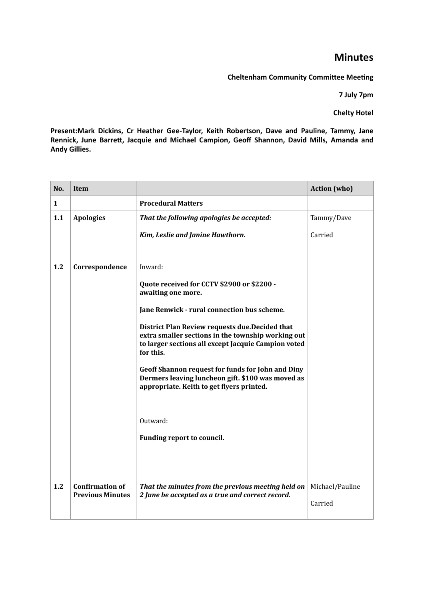## **Minutes**

**Cheltenham Community Committee Meeting** 

**7 July 7pm**

**Chelty Hotel**

Present:Mark Dickins, Cr Heather Gee-Taylor, Keith Robertson, Dave and Pauline, Tammy, Jane Rennick, June Barrett, Jacquie and Michael Campion, Geoff Shannon, David Mills, Amanda and **Andy Gillies.**

| <b>Procedural Matters</b><br>1<br>1.1<br><b>Apologies</b><br>That the following apologies be accepted:                                                                    | Tammy/Dave<br>Carried      |
|---------------------------------------------------------------------------------------------------------------------------------------------------------------------------|----------------------------|
|                                                                                                                                                                           |                            |
|                                                                                                                                                                           |                            |
| Kim, Leslie and Janine Hawthorn.                                                                                                                                          |                            |
|                                                                                                                                                                           |                            |
| 1.2<br>Correspondence<br>Inward:                                                                                                                                          |                            |
| Quote received for CCTV \$2900 or \$2200 -<br>awaiting one more.                                                                                                          |                            |
| Jane Renwick - rural connection bus scheme.                                                                                                                               |                            |
| District Plan Review requests due. Decided that<br>extra smaller sections in the township working out<br>to larger sections all except Jacquie Campion voted<br>for this. |                            |
| <b>Geoff Shannon request for funds for John and Diny</b><br>Dermers leaving luncheon gift. \$100 was moved as<br>appropriate. Keith to get flyers printed.                |                            |
| Outward:                                                                                                                                                                  |                            |
| Funding report to council.                                                                                                                                                |                            |
| 1.2<br><b>Confirmation of</b><br>That the minutes from the previous meeting held on<br><b>Previous Minutes</b><br>2 June be accepted as a true and correct record.        | Michael/Pauline<br>Carried |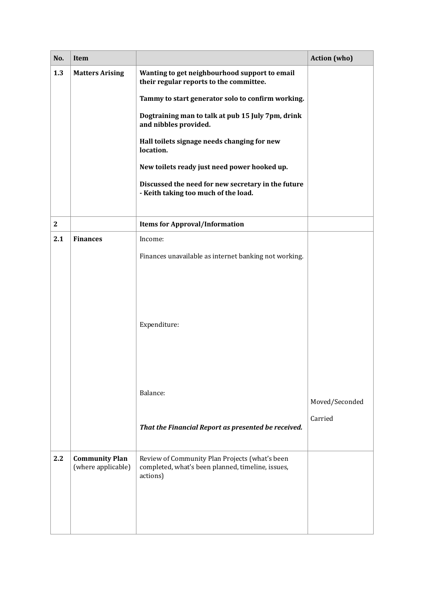| No.          | <b>Item</b>                                 |                                                                                                                 | <b>Action</b> (who) |
|--------------|---------------------------------------------|-----------------------------------------------------------------------------------------------------------------|---------------------|
| 1.3          | <b>Matters Arising</b>                      | Wanting to get neighbourhood support to email<br>their regular reports to the committee.                        |                     |
|              |                                             | Tammy to start generator solo to confirm working.                                                               |                     |
|              |                                             | Dogtraining man to talk at pub 15 July 7pm, drink<br>and nibbles provided.                                      |                     |
|              |                                             | Hall toilets signage needs changing for new<br>location.                                                        |                     |
|              |                                             | New toilets ready just need power hooked up.                                                                    |                     |
|              |                                             | Discussed the need for new secretary in the future<br>- Keith taking too much of the load.                      |                     |
| $\mathbf{2}$ |                                             | <b>Items for Approval/Information</b>                                                                           |                     |
| 2.1          | <b>Finances</b>                             | Income:                                                                                                         |                     |
|              |                                             | Finances unavailable as internet banking not working.                                                           |                     |
|              |                                             | Expenditure:                                                                                                    |                     |
|              |                                             | Balance:                                                                                                        | Moved/Seconded      |
|              |                                             |                                                                                                                 | Carried             |
|              |                                             | That the Financial Report as presented be received.                                                             |                     |
| 2.2          | <b>Community Plan</b><br>(where applicable) | Review of Community Plan Projects (what's been<br>completed, what's been planned, timeline, issues,<br>actions) |                     |